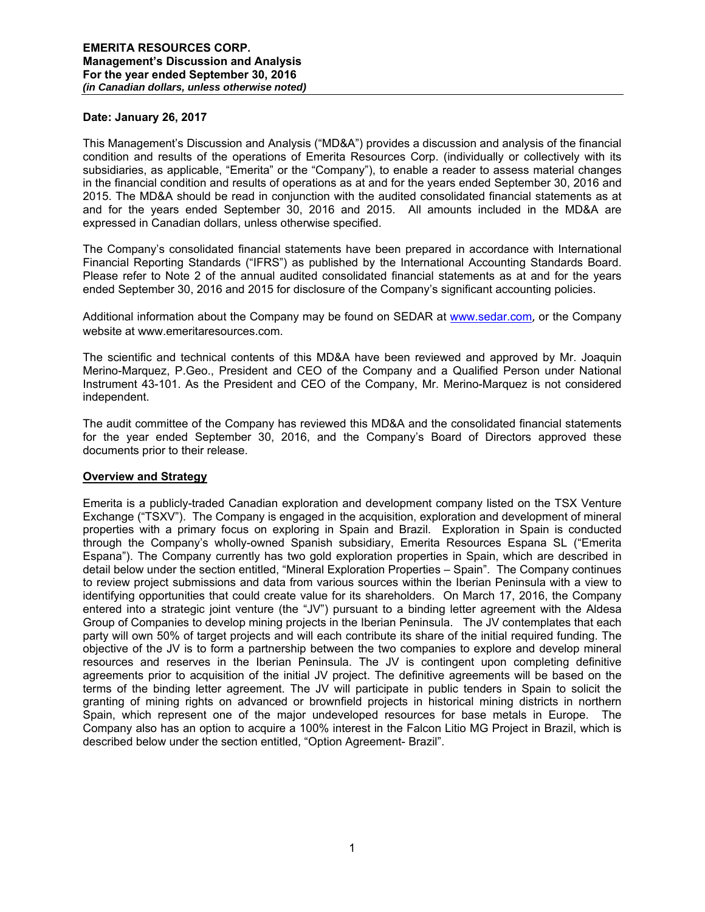#### **Date: January 26, 2017**

This Management's Discussion and Analysis ("MD&A") provides a discussion and analysis of the financial condition and results of the operations of Emerita Resources Corp. (individually or collectively with its subsidiaries, as applicable, "Emerita" or the "Company"), to enable a reader to assess material changes in the financial condition and results of operations as at and for the years ended September 30, 2016 and 2015. The MD&A should be read in conjunction with the audited consolidated financial statements as at and for the years ended September 30, 2016 and 2015. All amounts included in the MD&A are expressed in Canadian dollars, unless otherwise specified.

The Company's consolidated financial statements have been prepared in accordance with International Financial Reporting Standards ("IFRS") as published by the International Accounting Standards Board. Please refer to Note 2 of the annual audited consolidated financial statements as at and for the years ended September 30, 2016 and 2015 for disclosure of the Company's significant accounting policies.

Additional information about the Company may be found on SEDAR at www.sedar.com, or the Company website at www.emeritaresources.com.

The scientific and technical contents of this MD&A have been reviewed and approved by Mr. Joaquin Merino-Marquez, P.Geo., President and CEO of the Company and a Qualified Person under National Instrument 43-101. As the President and CEO of the Company, Mr. Merino-Marquez is not considered independent.

The audit committee of the Company has reviewed this MD&A and the consolidated financial statements for the year ended September 30, 2016, and the Company's Board of Directors approved these documents prior to their release.

## **Overview and Strategy**

Emerita is a publicly-traded Canadian exploration and development company listed on the TSX Venture Exchange ("TSXV"). The Company is engaged in the acquisition, exploration and development of mineral properties with a primary focus on exploring in Spain and Brazil. Exploration in Spain is conducted through the Company's wholly-owned Spanish subsidiary, Emerita Resources Espana SL ("Emerita Espana"). The Company currently has two gold exploration properties in Spain, which are described in detail below under the section entitled, "Mineral Exploration Properties – Spain". The Company continues to review project submissions and data from various sources within the Iberian Peninsula with a view to identifying opportunities that could create value for its shareholders. On March 17, 2016, the Company entered into a strategic joint venture (the "JV") pursuant to a binding letter agreement with the Aldesa Group of Companies to develop mining projects in the Iberian Peninsula. The JV contemplates that each party will own 50% of target projects and will each contribute its share of the initial required funding. The objective of the JV is to form a partnership between the two companies to explore and develop mineral resources and reserves in the Iberian Peninsula. The JV is contingent upon completing definitive agreements prior to acquisition of the initial JV project. The definitive agreements will be based on the terms of the binding letter agreement. The JV will participate in public tenders in Spain to solicit the granting of mining rights on advanced or brownfield projects in historical mining districts in northern Spain, which represent one of the major undeveloped resources for base metals in Europe. The Company also has an option to acquire a 100% interest in the Falcon Litio MG Project in Brazil, which is described below under the section entitled, "Option Agreement- Brazil".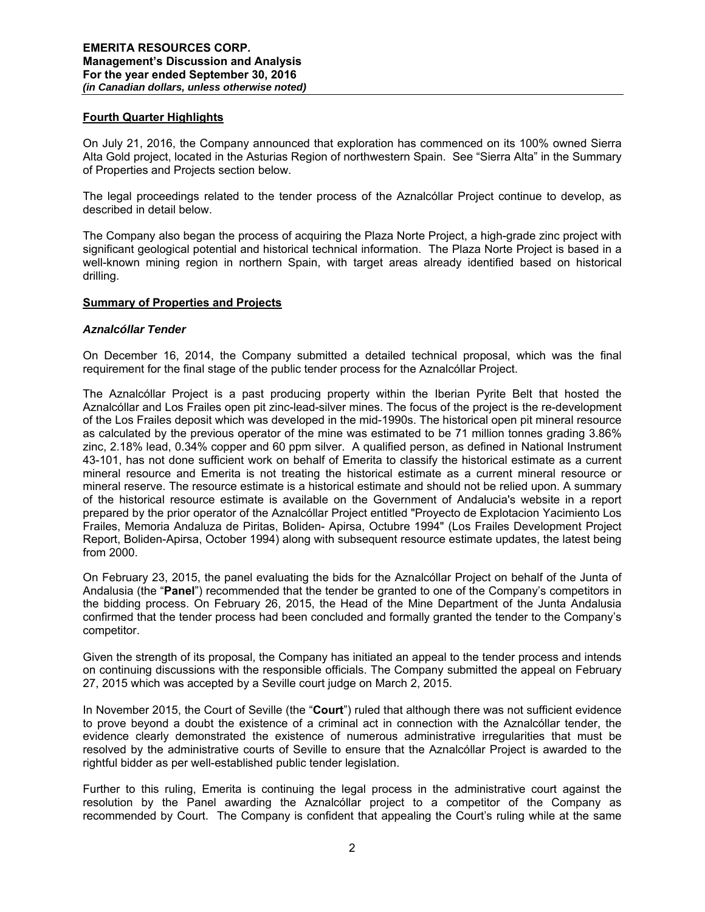## **Fourth Quarter Highlights**

On July 21, 2016, the Company announced that exploration has commenced on its 100% owned Sierra Alta Gold project, located in the Asturias Region of northwestern Spain. See "Sierra Alta" in the Summary of Properties and Projects section below.

The legal proceedings related to the tender process of the Aznalcóllar Project continue to develop, as described in detail below.

The Company also began the process of acquiring the Plaza Norte Project, a high-grade zinc project with significant geological potential and historical technical information. The Plaza Norte Project is based in a well-known mining region in northern Spain, with target areas already identified based on historical drilling.

#### **Summary of Properties and Projects**

#### *Aznalcóllar Tender*

On December 16, 2014, the Company submitted a detailed technical proposal, which was the final requirement for the final stage of the public tender process for the Aznalcóllar Project.

The Aznalcóllar Project is a past producing property within the Iberian Pyrite Belt that hosted the Aznalcóllar and Los Frailes open pit zinc-lead-silver mines. The focus of the project is the re-development of the Los Frailes deposit which was developed in the mid-1990s. The historical open pit mineral resource as calculated by the previous operator of the mine was estimated to be 71 million tonnes grading 3.86% zinc, 2.18% lead, 0.34% copper and 60 ppm silver. A qualified person, as defined in National Instrument 43-101, has not done sufficient work on behalf of Emerita to classify the historical estimate as a current mineral resource and Emerita is not treating the historical estimate as a current mineral resource or mineral reserve. The resource estimate is a historical estimate and should not be relied upon. A summary of the historical resource estimate is available on the Government of Andalucia's website in a report prepared by the prior operator of the Aznalcóllar Project entitled "Proyecto de Explotacion Yacimiento Los Frailes, Memoria Andaluza de Piritas, Boliden- Apirsa, Octubre 1994" (Los Frailes Development Project Report, Boliden-Apirsa, October 1994) along with subsequent resource estimate updates, the latest being from 2000.

On February 23, 2015, the panel evaluating the bids for the Aznalcóllar Project on behalf of the Junta of Andalusia (the "**Panel**") recommended that the tender be granted to one of the Company's competitors in the bidding process. On February 26, 2015, the Head of the Mine Department of the Junta Andalusia confirmed that the tender process had been concluded and formally granted the tender to the Company's competitor.

Given the strength of its proposal, the Company has initiated an appeal to the tender process and intends on continuing discussions with the responsible officials. The Company submitted the appeal on February 27, 2015 which was accepted by a Seville court judge on March 2, 2015.

In November 2015, the Court of Seville (the "**Court**") ruled that although there was not sufficient evidence to prove beyond a doubt the existence of a criminal act in connection with the Aznalcóllar tender, the evidence clearly demonstrated the existence of numerous administrative irregularities that must be resolved by the administrative courts of Seville to ensure that the Aznalcóllar Project is awarded to the rightful bidder as per well-established public tender legislation.

Further to this ruling, Emerita is continuing the legal process in the administrative court against the resolution by the Panel awarding the Aznalcóllar project to a competitor of the Company as recommended by Court. The Company is confident that appealing the Court's ruling while at the same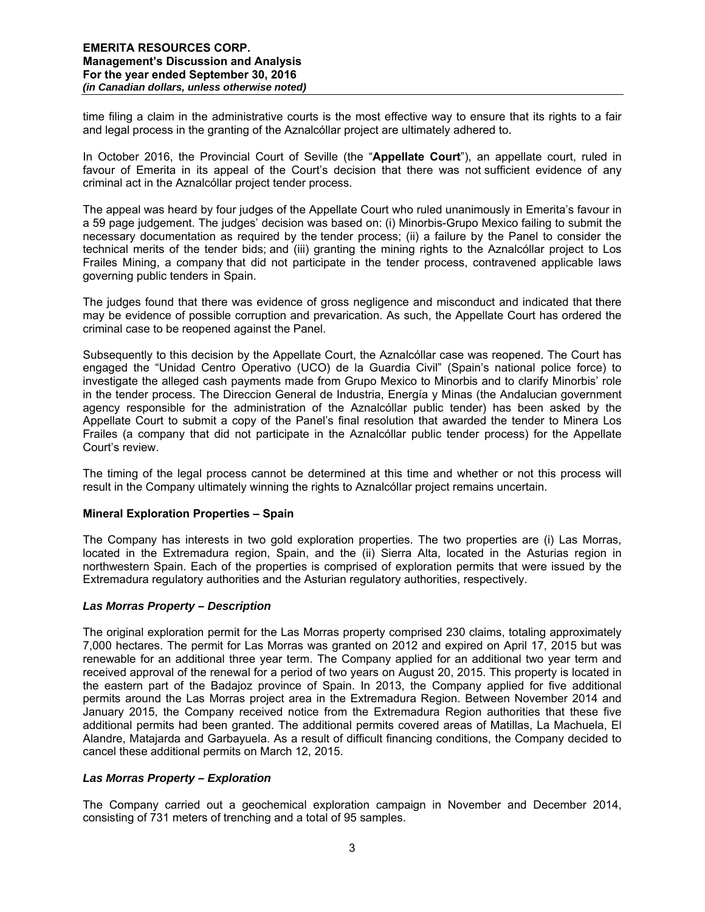time filing a claim in the administrative courts is the most effective way to ensure that its rights to a fair and legal process in the granting of the Aznalcóllar project are ultimately adhered to.

In October 2016, the Provincial Court of Seville (the "**Appellate Court**"), an appellate court, ruled in favour of Emerita in its appeal of the Court's decision that there was not sufficient evidence of any criminal act in the Aznalcóllar project tender process.

The appeal was heard by four judges of the Appellate Court who ruled unanimously in Emerita's favour in a 59 page judgement. The judges' decision was based on: (i) Minorbis-Grupo Mexico failing to submit the necessary documentation as required by the tender process; (ii) a failure by the Panel to consider the technical merits of the tender bids; and (iii) granting the mining rights to the Aznalcóllar project to Los Frailes Mining, a company that did not participate in the tender process, contravened applicable laws governing public tenders in Spain.

The judges found that there was evidence of gross negligence and misconduct and indicated that there may be evidence of possible corruption and prevarication. As such, the Appellate Court has ordered the criminal case to be reopened against the Panel.

Subsequently to this decision by the Appellate Court, the Aznalcóllar case was reopened. The Court has engaged the "Unidad Centro Operativo (UCO) de la Guardia Civil" (Spain's national police force) to investigate the alleged cash payments made from Grupo Mexico to Minorbis and to clarify Minorbis' role in the tender process. The Direccion General de Industria, Energía y Minas (the Andalucian government agency responsible for the administration of the Aznalcóllar public tender) has been asked by the Appellate Court to submit a copy of the Panel's final resolution that awarded the tender to Minera Los Frailes (a company that did not participate in the Aznalcóllar public tender process) for the Appellate Court's review.

The timing of the legal process cannot be determined at this time and whether or not this process will result in the Company ultimately winning the rights to Aznalcóllar project remains uncertain.

## **Mineral Exploration Properties – Spain**

The Company has interests in two gold exploration properties. The two properties are (i) Las Morras, located in the Extremadura region, Spain, and the (ii) Sierra Alta, located in the Asturias region in northwestern Spain. Each of the properties is comprised of exploration permits that were issued by the Extremadura regulatory authorities and the Asturian regulatory authorities, respectively.

## *Las Morras Property – Description*

The original exploration permit for the Las Morras property comprised 230 claims, totaling approximately 7,000 hectares. The permit for Las Morras was granted on 2012 and expired on April 17, 2015 but was renewable for an additional three year term. The Company applied for an additional two year term and received approval of the renewal for a period of two years on August 20, 2015. This property is located in the eastern part of the Badajoz province of Spain. In 2013, the Company applied for five additional permits around the Las Morras project area in the Extremadura Region. Between November 2014 and January 2015, the Company received notice from the Extremadura Region authorities that these five additional permits had been granted. The additional permits covered areas of Matillas, La Machuela, El Alandre, Matajarda and Garbayuela. As a result of difficult financing conditions, the Company decided to cancel these additional permits on March 12, 2015.

## *Las Morras Property – Exploration*

The Company carried out a geochemical exploration campaign in November and December 2014, consisting of 731 meters of trenching and a total of 95 samples.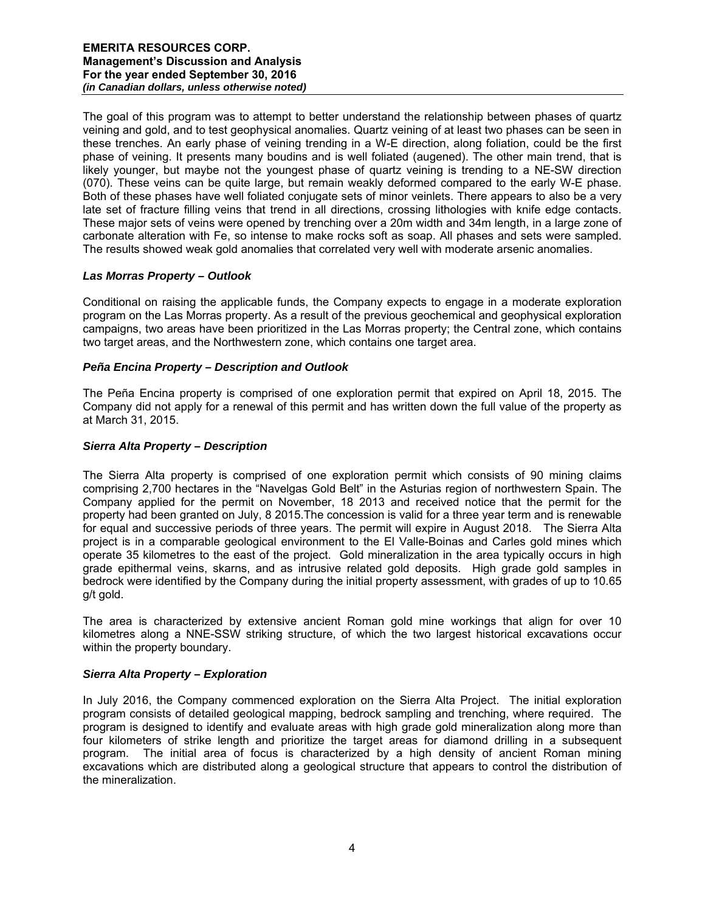The goal of this program was to attempt to better understand the relationship between phases of quartz veining and gold, and to test geophysical anomalies. Quartz veining of at least two phases can be seen in these trenches. An early phase of veining trending in a W-E direction, along foliation, could be the first phase of veining. It presents many boudins and is well foliated (augened). The other main trend, that is likely younger, but maybe not the youngest phase of quartz veining is trending to a NE-SW direction (070). These veins can be quite large, but remain weakly deformed compared to the early W-E phase. Both of these phases have well foliated conjugate sets of minor veinlets. There appears to also be a very late set of fracture filling veins that trend in all directions, crossing lithologies with knife edge contacts. These major sets of veins were opened by trenching over a 20m width and 34m length, in a large zone of carbonate alteration with Fe, so intense to make rocks soft as soap. All phases and sets were sampled. The results showed weak gold anomalies that correlated very well with moderate arsenic anomalies.

# *Las Morras Property – Outlook*

Conditional on raising the applicable funds, the Company expects to engage in a moderate exploration program on the Las Morras property. As a result of the previous geochemical and geophysical exploration campaigns, two areas have been prioritized in the Las Morras property; the Central zone, which contains two target areas, and the Northwestern zone, which contains one target area.

# *Peña Encina Property – Description and Outlook*

The Peña Encina property is comprised of one exploration permit that expired on April 18, 2015. The Company did not apply for a renewal of this permit and has written down the full value of the property as at March 31, 2015.

# *Sierra Alta Property – Description*

The Sierra Alta property is comprised of one exploration permit which consists of 90 mining claims comprising 2,700 hectares in the "Navelgas Gold Belt" in the Asturias region of northwestern Spain. The Company applied for the permit on November, 18 2013 and received notice that the permit for the property had been granted on July, 8 2015.The concession is valid for a three year term and is renewable for equal and successive periods of three years. The permit will expire in August 2018. The Sierra Alta project is in a comparable geological environment to the El Valle-Boinas and Carles gold mines which operate 35 kilometres to the east of the project. Gold mineralization in the area typically occurs in high grade epithermal veins, skarns, and as intrusive related gold deposits. High grade gold samples in bedrock were identified by the Company during the initial property assessment, with grades of up to 10.65 g/t gold.

The area is characterized by extensive ancient Roman gold mine workings that align for over 10 kilometres along a NNE-SSW striking structure, of which the two largest historical excavations occur within the property boundary.

## *Sierra Alta Property – Exploration*

In July 2016, the Company commenced exploration on the Sierra Alta Project. The initial exploration program consists of detailed geological mapping, bedrock sampling and trenching, where required. The program is designed to identify and evaluate areas with high grade gold mineralization along more than four kilometers of strike length and prioritize the target areas for diamond drilling in a subsequent program. The initial area of focus is characterized by a high density of ancient Roman mining excavations which are distributed along a geological structure that appears to control the distribution of the mineralization.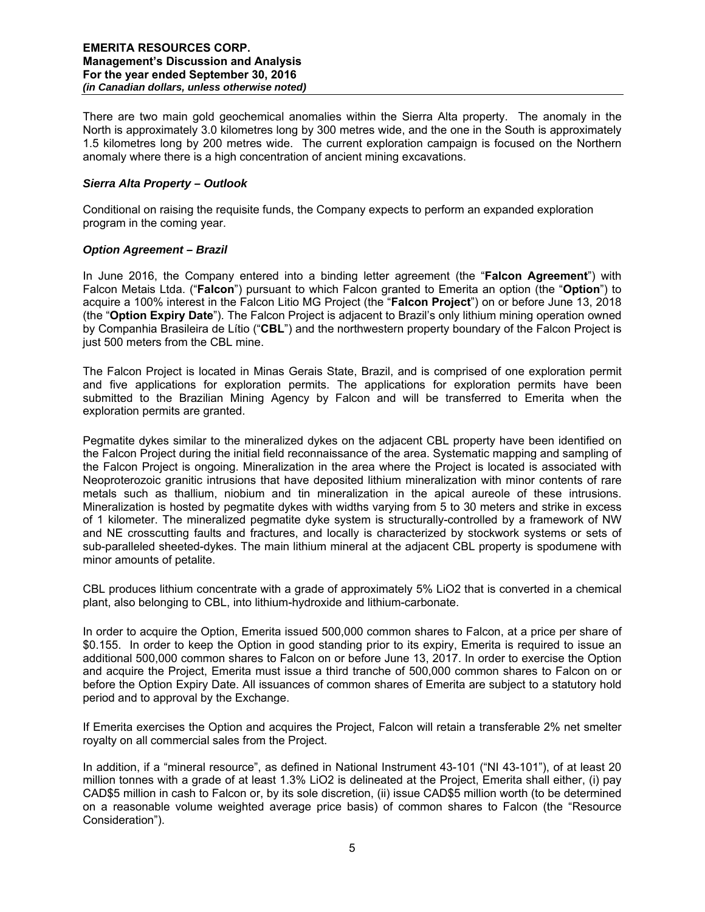There are two main gold geochemical anomalies within the Sierra Alta property. The anomaly in the North is approximately 3.0 kilometres long by 300 metres wide, and the one in the South is approximately 1.5 kilometres long by 200 metres wide. The current exploration campaign is focused on the Northern anomaly where there is a high concentration of ancient mining excavations.

# *Sierra Alta Property – Outlook*

Conditional on raising the requisite funds, the Company expects to perform an expanded exploration program in the coming year.

# *Option Agreement – Brazil*

In June 2016, the Company entered into a binding letter agreement (the "**Falcon Agreement**") with Falcon Metais Ltda. ("**Falcon**") pursuant to which Falcon granted to Emerita an option (the "**Option**") to acquire a 100% interest in the Falcon Litio MG Project (the "**Falcon Project**") on or before June 13, 2018 (the "**Option Expiry Date**"). The Falcon Project is adjacent to Brazil's only lithium mining operation owned by Companhia Brasileira de Lítio ("**CBL**") and the northwestern property boundary of the Falcon Project is just 500 meters from the CBL mine.

The Falcon Project is located in Minas Gerais State, Brazil, and is comprised of one exploration permit and five applications for exploration permits. The applications for exploration permits have been submitted to the Brazilian Mining Agency by Falcon and will be transferred to Emerita when the exploration permits are granted.

Pegmatite dykes similar to the mineralized dykes on the adjacent CBL property have been identified on the Falcon Project during the initial field reconnaissance of the area. Systematic mapping and sampling of the Falcon Project is ongoing. Mineralization in the area where the Project is located is associated with Neoproterozoic granitic intrusions that have deposited lithium mineralization with minor contents of rare metals such as thallium, niobium and tin mineralization in the apical aureole of these intrusions. Mineralization is hosted by pegmatite dykes with widths varying from 5 to 30 meters and strike in excess of 1 kilometer. The mineralized pegmatite dyke system is structurally-controlled by a framework of NW and NE crosscutting faults and fractures, and locally is characterized by stockwork systems or sets of sub-paralleled sheeted-dykes. The main lithium mineral at the adjacent CBL property is spodumene with minor amounts of petalite.

CBL produces lithium concentrate with a grade of approximately 5% LiO2 that is converted in a chemical plant, also belonging to CBL, into lithium-hydroxide and lithium-carbonate.

In order to acquire the Option, Emerita issued 500,000 common shares to Falcon, at a price per share of \$0.155. In order to keep the Option in good standing prior to its expiry, Emerita is required to issue an additional 500,000 common shares to Falcon on or before June 13, 2017. In order to exercise the Option and acquire the Project, Emerita must issue a third tranche of 500,000 common shares to Falcon on or before the Option Expiry Date. All issuances of common shares of Emerita are subject to a statutory hold period and to approval by the Exchange.

If Emerita exercises the Option and acquires the Project, Falcon will retain a transferable 2% net smelter royalty on all commercial sales from the Project.

In addition, if a "mineral resource", as defined in National Instrument 43-101 ("NI 43-101"), of at least 20 million tonnes with a grade of at least 1.3% LiO2 is delineated at the Project, Emerita shall either, (i) pay CAD\$5 million in cash to Falcon or, by its sole discretion, (ii) issue CAD\$5 million worth (to be determined on a reasonable volume weighted average price basis) of common shares to Falcon (the "Resource Consideration").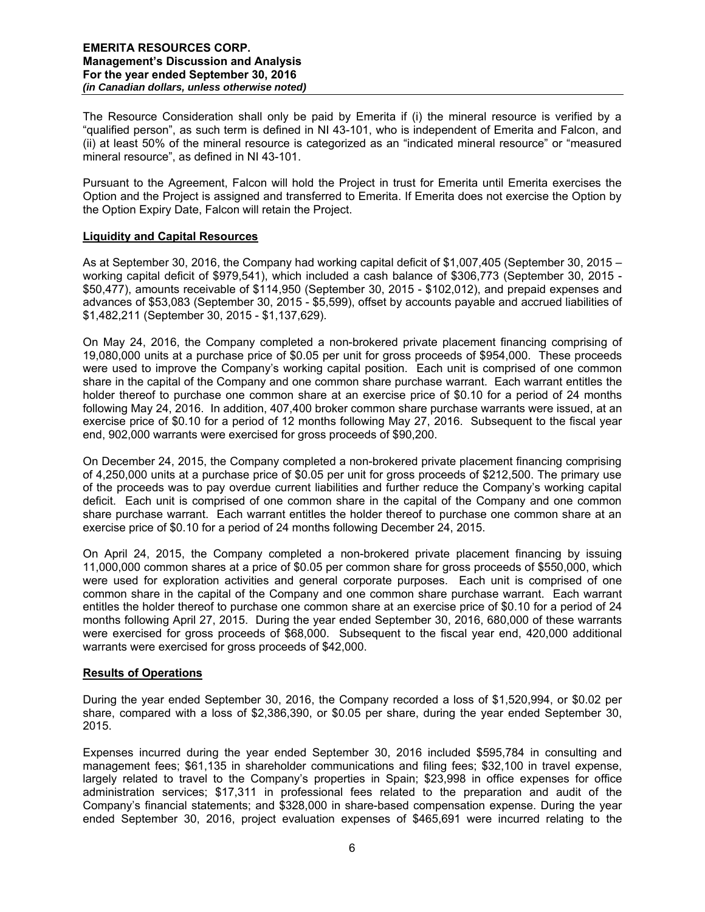The Resource Consideration shall only be paid by Emerita if (i) the mineral resource is verified by a "qualified person", as such term is defined in NI 43-101, who is independent of Emerita and Falcon, and (ii) at least 50% of the mineral resource is categorized as an "indicated mineral resource" or "measured mineral resource", as defined in NI 43-101.

Pursuant to the Agreement, Falcon will hold the Project in trust for Emerita until Emerita exercises the Option and the Project is assigned and transferred to Emerita. If Emerita does not exercise the Option by the Option Expiry Date, Falcon will retain the Project.

## **Liquidity and Capital Resources**

As at September 30, 2016, the Company had working capital deficit of \$1,007,405 (September 30, 2015 – working capital deficit of \$979,541), which included a cash balance of \$306,773 (September 30, 2015 - \$50,477), amounts receivable of \$114,950 (September 30, 2015 - \$102,012), and prepaid expenses and advances of \$53,083 (September 30, 2015 - \$5,599), offset by accounts payable and accrued liabilities of \$1,482,211 (September 30, 2015 - \$1,137,629).

On May 24, 2016, the Company completed a non-brokered private placement financing comprising of 19,080,000 units at a purchase price of \$0.05 per unit for gross proceeds of \$954,000. These proceeds were used to improve the Company's working capital position. Each unit is comprised of one common share in the capital of the Company and one common share purchase warrant. Each warrant entitles the holder thereof to purchase one common share at an exercise price of \$0.10 for a period of 24 months following May 24, 2016. In addition, 407,400 broker common share purchase warrants were issued, at an exercise price of \$0.10 for a period of 12 months following May 27, 2016. Subsequent to the fiscal year end, 902,000 warrants were exercised for gross proceeds of \$90,200.

On December 24, 2015, the Company completed a non-brokered private placement financing comprising of 4,250,000 units at a purchase price of \$0.05 per unit for gross proceeds of \$212,500. The primary use of the proceeds was to pay overdue current liabilities and further reduce the Company's working capital deficit. Each unit is comprised of one common share in the capital of the Company and one common share purchase warrant. Each warrant entitles the holder thereof to purchase one common share at an exercise price of \$0.10 for a period of 24 months following December 24, 2015.

On April 24, 2015, the Company completed a non-brokered private placement financing by issuing 11,000,000 common shares at a price of \$0.05 per common share for gross proceeds of \$550,000, which were used for exploration activities and general corporate purposes. Each unit is comprised of one common share in the capital of the Company and one common share purchase warrant. Each warrant entitles the holder thereof to purchase one common share at an exercise price of \$0.10 for a period of 24 months following April 27, 2015. During the year ended September 30, 2016, 680,000 of these warrants were exercised for gross proceeds of \$68,000. Subsequent to the fiscal year end, 420,000 additional warrants were exercised for gross proceeds of \$42,000.

## **Results of Operations**

During the year ended September 30, 2016, the Company recorded a loss of \$1,520,994, or \$0.02 per share, compared with a loss of \$2,386,390, or \$0.05 per share, during the year ended September 30, 2015.

Expenses incurred during the year ended September 30, 2016 included \$595,784 in consulting and management fees; \$61,135 in shareholder communications and filing fees; \$32,100 in travel expense, largely related to travel to the Company's properties in Spain; \$23,998 in office expenses for office administration services; \$17,311 in professional fees related to the preparation and audit of the Company's financial statements; and \$328,000 in share-based compensation expense. During the year ended September 30, 2016, project evaluation expenses of \$465,691 were incurred relating to the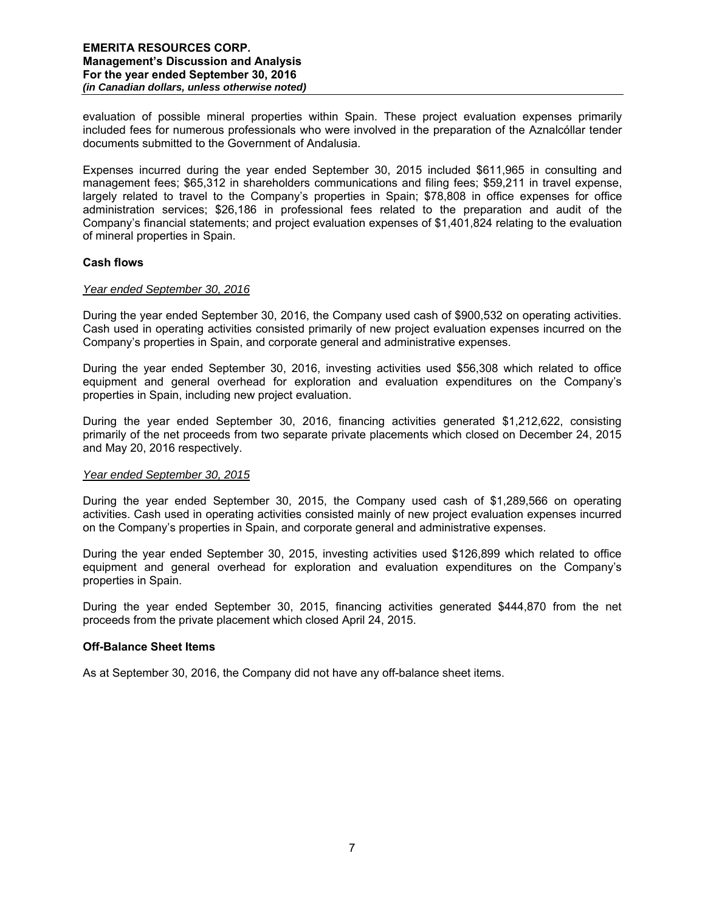evaluation of possible mineral properties within Spain. These project evaluation expenses primarily included fees for numerous professionals who were involved in the preparation of the Aznalcóllar tender documents submitted to the Government of Andalusia.

Expenses incurred during the year ended September 30, 2015 included \$611,965 in consulting and management fees; \$65,312 in shareholders communications and filing fees; \$59,211 in travel expense, largely related to travel to the Company's properties in Spain; \$78,808 in office expenses for office administration services; \$26,186 in professional fees related to the preparation and audit of the Company's financial statements; and project evaluation expenses of \$1,401,824 relating to the evaluation of mineral properties in Spain.

## **Cash flows**

#### *Year ended September 30, 2016*

During the year ended September 30, 2016, the Company used cash of \$900,532 on operating activities. Cash used in operating activities consisted primarily of new project evaluation expenses incurred on the Company's properties in Spain, and corporate general and administrative expenses.

During the year ended September 30, 2016, investing activities used \$56,308 which related to office equipment and general overhead for exploration and evaluation expenditures on the Company's properties in Spain, including new project evaluation.

During the year ended September 30, 2016, financing activities generated \$1,212,622, consisting primarily of the net proceeds from two separate private placements which closed on December 24, 2015 and May 20, 2016 respectively.

## *Year ended September 30, 2015*

During the year ended September 30, 2015, the Company used cash of \$1,289,566 on operating activities. Cash used in operating activities consisted mainly of new project evaluation expenses incurred on the Company's properties in Spain, and corporate general and administrative expenses.

During the year ended September 30, 2015, investing activities used \$126,899 which related to office equipment and general overhead for exploration and evaluation expenditures on the Company's properties in Spain.

During the year ended September 30, 2015, financing activities generated \$444,870 from the net proceeds from the private placement which closed April 24, 2015.

## **Off-Balance Sheet Items**

As at September 30, 2016, the Company did not have any off-balance sheet items.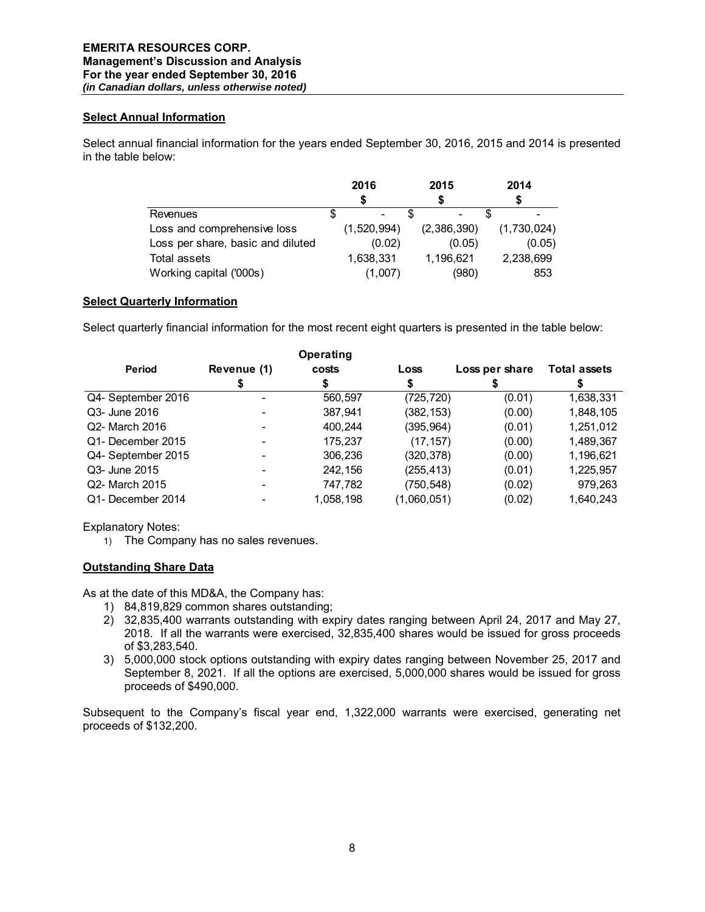## **Select Annual Information**

Select annual financial information for the years ended September 30, 2016, 2015 and 2014 is presented in the table below:

|                                   | 2016 |                          | 2015        |  | 2014        |  |
|-----------------------------------|------|--------------------------|-------------|--|-------------|--|
|                                   |      |                          |             |  |             |  |
| Revenues                          |      | $\overline{\phantom{0}}$ |             |  |             |  |
| Loss and comprehensive loss       |      | (1,520,994)              | (2,386,390) |  | (1,730,024) |  |
| Loss per share, basic and diluted |      | (0.02)                   | (0.05)      |  | (0.05)      |  |
| Total assets                      |      | 1,638,331                | 1,196,621   |  | 2,238,699   |  |
| Working capital ('000s)           |      | (1,007)                  | (980)       |  | 853         |  |

# **Select Quarterly Information**

Select quarterly financial information for the most recent eight quarters is presented in the table below:

|                    |             | <b>Operating</b> |             |                |                     |
|--------------------|-------------|------------------|-------------|----------------|---------------------|
| <b>Period</b>      | Revenue (1) | costs            | Loss        | Loss per share | <b>Total assets</b> |
|                    |             |                  |             |                |                     |
| Q4- September 2016 |             | 560,597          | (725, 720)  | (0.01)         | 1,638,331           |
| Q3- June 2016      |             | 387,941          | (382,153)   | (0.00)         | 1,848,105           |
| Q2- March 2016     |             | 400,244          | (395,964)   | (0.01)         | 1,251,012           |
| Q1- December 2015  |             | 175.237          | (17, 157)   | (0.00)         | 1,489,367           |
| Q4- September 2015 |             | 306,236          | (320, 378)  | (0.00)         | 1,196,621           |
| Q3- June 2015      |             | 242,156          | (255,413)   | (0.01)         | 1,225,957           |
| Q2- March 2015     |             | 747,782          | (750, 548)  | (0.02)         | 979,263             |
| Q1- December 2014  |             | 1,058,198        | (1,060,051) | (0.02)         | 1,640,243           |

Explanatory Notes:

1) The Company has no sales revenues.

# **Outstanding Share Data**

As at the date of this MD&A, the Company has:

- 1) 84,819,829 common shares outstanding;
- 2) 32,835,400 warrants outstanding with expiry dates ranging between April 24, 2017 and May 27, 2018. If all the warrants were exercised, 32,835,400 shares would be issued for gross proceeds of \$3,283,540.
- 3) 5,000,000 stock options outstanding with expiry dates ranging between November 25, 2017 and September 8, 2021. If all the options are exercised, 5,000,000 shares would be issued for gross proceeds of \$490,000.

Subsequent to the Company's fiscal year end, 1,322,000 warrants were exercised, generating net proceeds of \$132,200.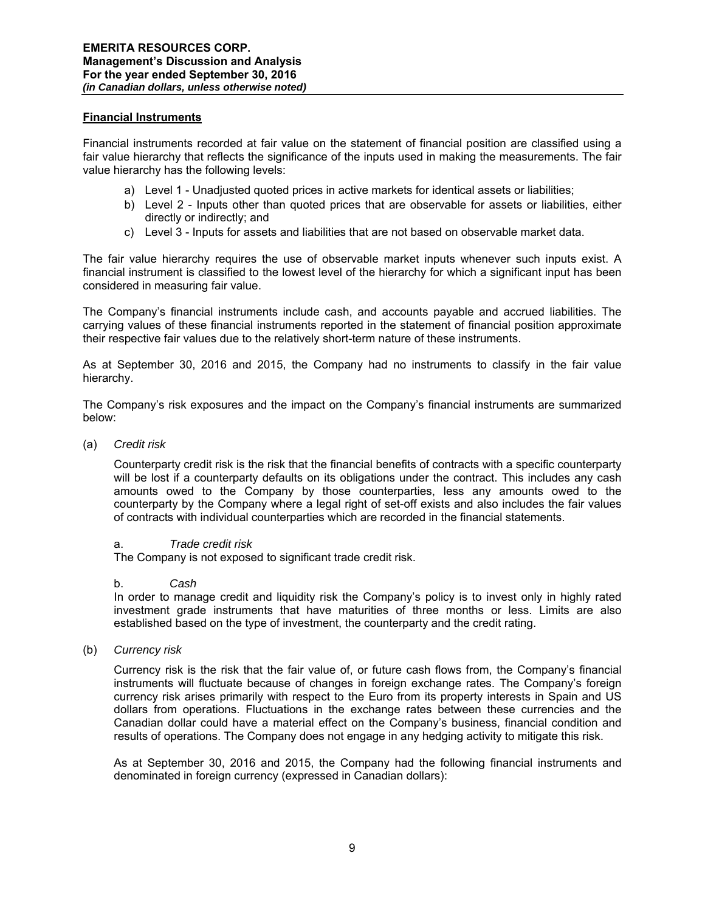## **Financial Instruments**

Financial instruments recorded at fair value on the statement of financial position are classified using a fair value hierarchy that reflects the significance of the inputs used in making the measurements. The fair value hierarchy has the following levels:

- a) Level 1 Unadjusted quoted prices in active markets for identical assets or liabilities;
- b) Level 2 Inputs other than quoted prices that are observable for assets or liabilities, either directly or indirectly; and
- c) Level 3 Inputs for assets and liabilities that are not based on observable market data.

The fair value hierarchy requires the use of observable market inputs whenever such inputs exist. A financial instrument is classified to the lowest level of the hierarchy for which a significant input has been considered in measuring fair value.

The Company's financial instruments include cash, and accounts payable and accrued liabilities. The carrying values of these financial instruments reported in the statement of financial position approximate their respective fair values due to the relatively short-term nature of these instruments.

As at September 30, 2016 and 2015, the Company had no instruments to classify in the fair value hierarchy.

The Company's risk exposures and the impact on the Company's financial instruments are summarized below:

(a) *Credit risk* 

Counterparty credit risk is the risk that the financial benefits of contracts with a specific counterparty will be lost if a counterparty defaults on its obligations under the contract. This includes any cash amounts owed to the Company by those counterparties, less any amounts owed to the counterparty by the Company where a legal right of set-off exists and also includes the fair values of contracts with individual counterparties which are recorded in the financial statements.

#### a. *Trade credit risk*

The Company is not exposed to significant trade credit risk.

#### b. *Cash*

In order to manage credit and liquidity risk the Company's policy is to invest only in highly rated investment grade instruments that have maturities of three months or less. Limits are also established based on the type of investment, the counterparty and the credit rating.

(b) *Currency risk* 

Currency risk is the risk that the fair value of, or future cash flows from, the Company's financial instruments will fluctuate because of changes in foreign exchange rates. The Company's foreign currency risk arises primarily with respect to the Euro from its property interests in Spain and US dollars from operations. Fluctuations in the exchange rates between these currencies and the Canadian dollar could have a material effect on the Company's business, financial condition and results of operations. The Company does not engage in any hedging activity to mitigate this risk.

As at September 30, 2016 and 2015, the Company had the following financial instruments and denominated in foreign currency (expressed in Canadian dollars):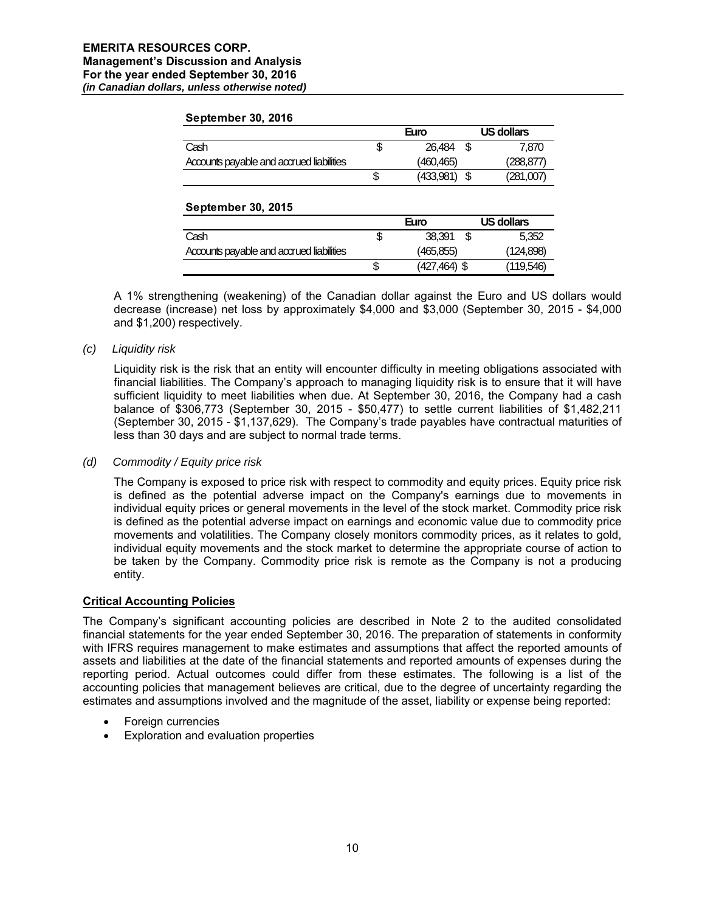#### **September 30, 2016**

|                                          | Euro      | US dollars |
|------------------------------------------|-----------|------------|
| Cash                                     | 26.484    | 7.870      |
| Accounts payable and accrued liabilities | (460.465) | (288, 877) |
|                                          | (433,981) | (281,007)  |

## **September 30, 2015**

|                                          | Euro            | US dollars |
|------------------------------------------|-----------------|------------|
| Cash                                     | 38.391          | 5.352      |
| Accounts payable and accrued liabilities | (465, 855)      | (124, 898) |
|                                          | $(427, 464)$ \$ | (119.546)  |

A 1% strengthening (weakening) of the Canadian dollar against the Euro and US dollars would decrease (increase) net loss by approximately \$4,000 and \$3,000 (September 30, 2015 - \$4,000 and \$1,200) respectively.

## *(c) Liquidity risk*

Liquidity risk is the risk that an entity will encounter difficulty in meeting obligations associated with financial liabilities. The Company's approach to managing liquidity risk is to ensure that it will have sufficient liquidity to meet liabilities when due. At September 30, 2016, the Company had a cash balance of \$306,773 (September 30, 2015 - \$50,477) to settle current liabilities of \$1,482,211 (September 30, 2015 - \$1,137,629). The Company's trade payables have contractual maturities of less than 30 days and are subject to normal trade terms.

## *(d) Commodity / Equity price risk*

The Company is exposed to price risk with respect to commodity and equity prices. Equity price risk is defined as the potential adverse impact on the Company's earnings due to movements in individual equity prices or general movements in the level of the stock market. Commodity price risk is defined as the potential adverse impact on earnings and economic value due to commodity price movements and volatilities. The Company closely monitors commodity prices, as it relates to gold, individual equity movements and the stock market to determine the appropriate course of action to be taken by the Company. Commodity price risk is remote as the Company is not a producing entity.

## **Critical Accounting Policies**

The Company's significant accounting policies are described in Note 2 to the audited consolidated financial statements for the year ended September 30, 2016. The preparation of statements in conformity with IFRS requires management to make estimates and assumptions that affect the reported amounts of assets and liabilities at the date of the financial statements and reported amounts of expenses during the reporting period. Actual outcomes could differ from these estimates. The following is a list of the accounting policies that management believes are critical, due to the degree of uncertainty regarding the estimates and assumptions involved and the magnitude of the asset, liability or expense being reported:

- Foreign currencies
- Exploration and evaluation properties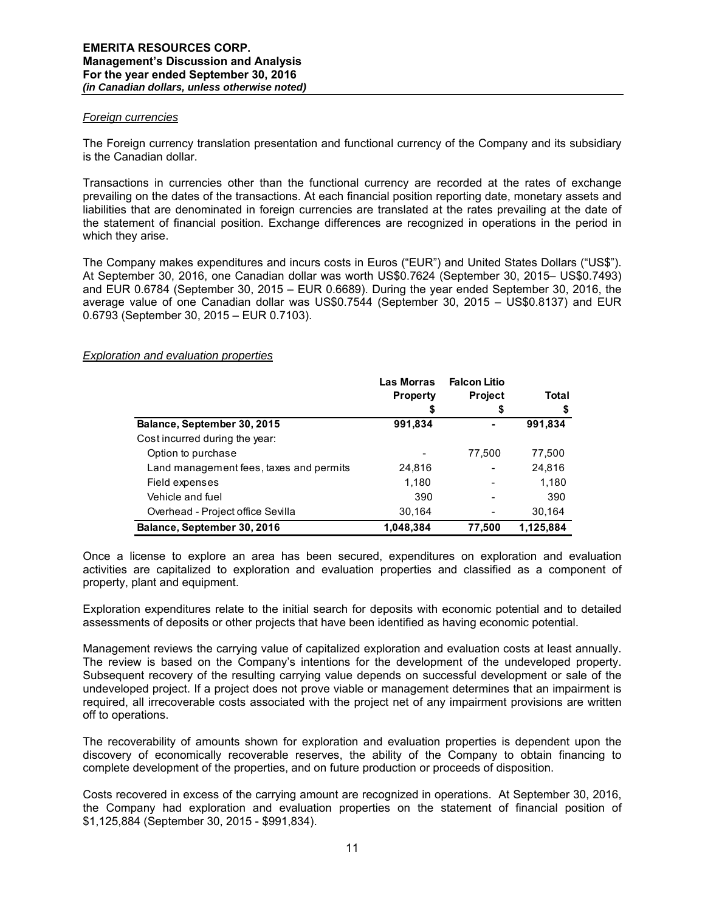#### *Foreign currencies*

The Foreign currency translation presentation and functional currency of the Company and its subsidiary is the Canadian dollar.

Transactions in currencies other than the functional currency are recorded at the rates of exchange prevailing on the dates of the transactions. At each financial position reporting date, monetary assets and liabilities that are denominated in foreign currencies are translated at the rates prevailing at the date of the statement of financial position. Exchange differences are recognized in operations in the period in which they arise.

The Company makes expenditures and incurs costs in Euros ("EUR") and United States Dollars ("US\$"). At September 30, 2016, one Canadian dollar was worth US\$0.7624 (September 30, 2015– US\$0.7493) and EUR 0.6784 (September 30, 2015 – EUR 0.6689). During the year ended September 30, 2016, the average value of one Canadian dollar was US\$0.7544 (September 30, 2015 – US\$0.8137) and EUR 0.6793 (September 30, 2015 – EUR 0.7103).

## *Exploration and evaluation properties*

|                                         | Las Morras      | <b>Falcon Litio</b> | Total     |  |
|-----------------------------------------|-----------------|---------------------|-----------|--|
|                                         | <b>Property</b> | <b>Project</b>      |           |  |
|                                         | \$              | \$                  | \$        |  |
| Balance, September 30, 2015             | 991,834         |                     | 991,834   |  |
| Cost incurred during the year:          |                 |                     |           |  |
| Option to purchase                      |                 | 77,500              | 77,500    |  |
| Land management fees, taxes and permits | 24,816          |                     | 24,816    |  |
| Field expenses                          | 1,180           |                     | 1,180     |  |
| Vehicle and fuel                        | 390             |                     | 390       |  |
| Overhead - Project office Sevilla       | 30,164          |                     | 30,164    |  |
| Balance, September 30, 2016             | 1,048,384       | 77,500              | 1,125,884 |  |

Once a license to explore an area has been secured, expenditures on exploration and evaluation activities are capitalized to exploration and evaluation properties and classified as a component of property, plant and equipment.

Exploration expenditures relate to the initial search for deposits with economic potential and to detailed assessments of deposits or other projects that have been identified as having economic potential.

Management reviews the carrying value of capitalized exploration and evaluation costs at least annually. The review is based on the Company's intentions for the development of the undeveloped property. Subsequent recovery of the resulting carrying value depends on successful development or sale of the undeveloped project. If a project does not prove viable or management determines that an impairment is required, all irrecoverable costs associated with the project net of any impairment provisions are written off to operations.

The recoverability of amounts shown for exploration and evaluation properties is dependent upon the discovery of economically recoverable reserves, the ability of the Company to obtain financing to complete development of the properties, and on future production or proceeds of disposition.

Costs recovered in excess of the carrying amount are recognized in operations. At September 30, 2016, the Company had exploration and evaluation properties on the statement of financial position of \$1,125,884 (September 30, 2015 - \$991,834).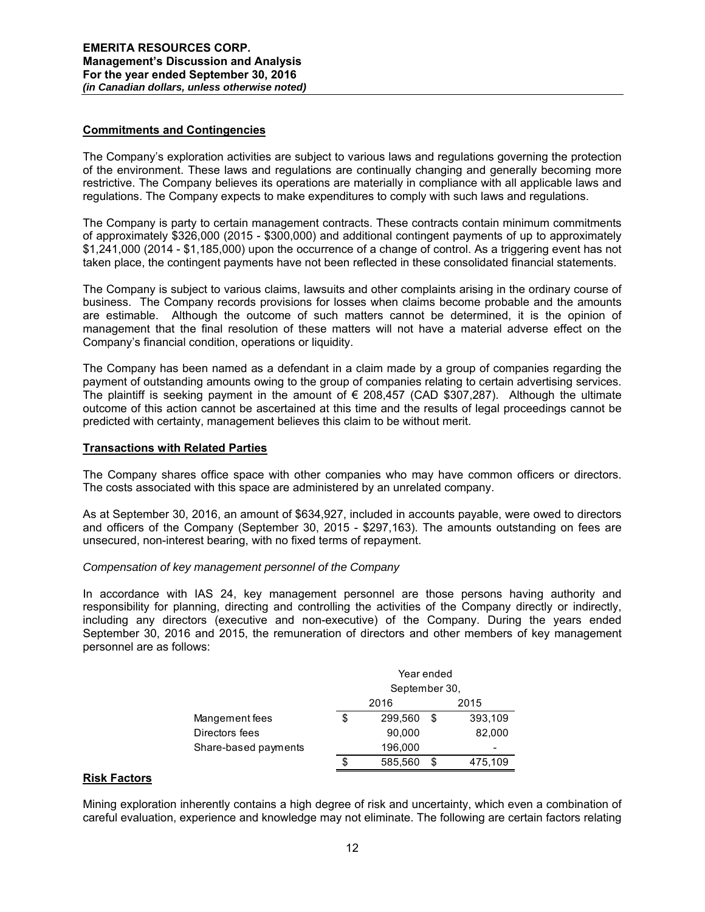## **Commitments and Contingencies**

The Company's exploration activities are subject to various laws and regulations governing the protection of the environment. These laws and regulations are continually changing and generally becoming more restrictive. The Company believes its operations are materially in compliance with all applicable laws and regulations. The Company expects to make expenditures to comply with such laws and regulations.

The Company is party to certain management contracts. These contracts contain minimum commitments of approximately \$326,000 (2015 - \$300,000) and additional contingent payments of up to approximately \$1,241,000 (2014 - \$1,185,000) upon the occurrence of a change of control. As a triggering event has not taken place, the contingent payments have not been reflected in these consolidated financial statements.

The Company is subject to various claims, lawsuits and other complaints arising in the ordinary course of business. The Company records provisions for losses when claims become probable and the amounts are estimable. Although the outcome of such matters cannot be determined, it is the opinion of management that the final resolution of these matters will not have a material adverse effect on the Company's financial condition, operations or liquidity.

The Company has been named as a defendant in a claim made by a group of companies regarding the payment of outstanding amounts owing to the group of companies relating to certain advertising services. The plaintiff is seeking payment in the amount of  $\epsilon$  208,457 (CAD \$307,287). Although the ultimate outcome of this action cannot be ascertained at this time and the results of legal proceedings cannot be predicted with certainty, management believes this claim to be without merit.

## **Transactions with Related Parties**

The Company shares office space with other companies who may have common officers or directors. The costs associated with this space are administered by an unrelated company.

As at September 30, 2016, an amount of \$634,927, included in accounts payable, were owed to directors and officers of the Company (September 30, 2015 - \$297,163). The amounts outstanding on fees are unsecured, non-interest bearing, with no fixed terms of repayment.

## *Compensation of key management personnel of the Company*

In accordance with IAS 24, key management personnel are those persons having authority and responsibility for planning, directing and controlling the activities of the Company directly or indirectly, including any directors (executive and non-executive) of the Company. During the years ended September 30, 2016 and 2015, the remuneration of directors and other members of key management personnel are as follows:

|                      | Year ended    |         |      |         |  |
|----------------------|---------------|---------|------|---------|--|
|                      | September 30, |         |      |         |  |
|                      |               | 2016    | 2015 |         |  |
| Mangement fees       | S             | 299,560 | S    | 393,109 |  |
| Directors fees       |               | 90,000  |      | 82,000  |  |
| Share-based payments |               | 196,000 |      | -       |  |
|                      | S             | 585,560 | S    | 475,109 |  |

## **Risk Factors**

Mining exploration inherently contains a high degree of risk and uncertainty, which even a combination of careful evaluation, experience and knowledge may not eliminate. The following are certain factors relating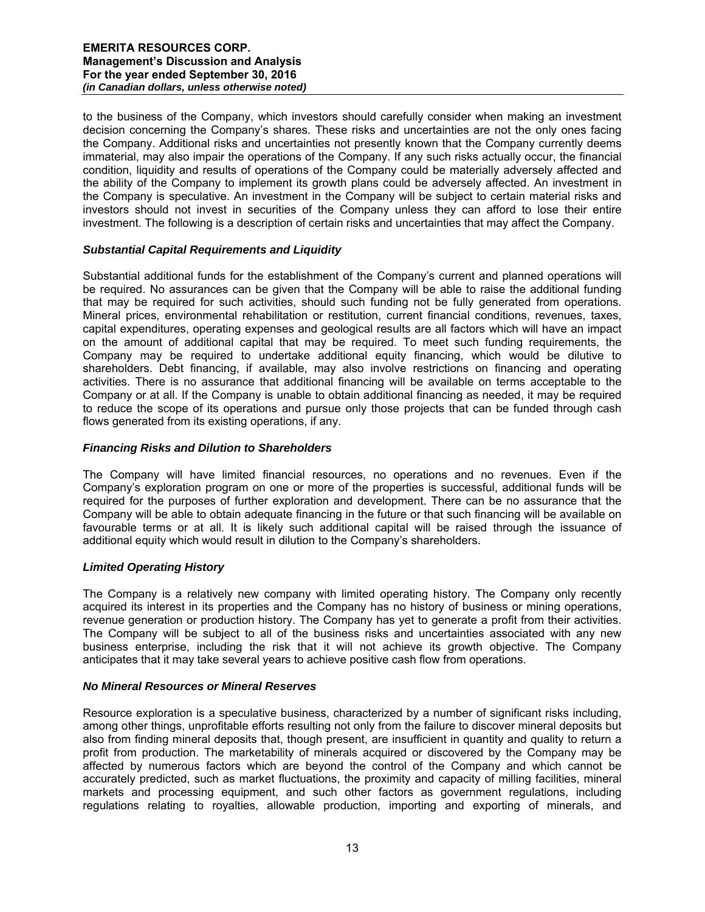to the business of the Company, which investors should carefully consider when making an investment decision concerning the Company's shares. These risks and uncertainties are not the only ones facing the Company. Additional risks and uncertainties not presently known that the Company currently deems immaterial, may also impair the operations of the Company. If any such risks actually occur, the financial condition, liquidity and results of operations of the Company could be materially adversely affected and the ability of the Company to implement its growth plans could be adversely affected. An investment in the Company is speculative. An investment in the Company will be subject to certain material risks and investors should not invest in securities of the Company unless they can afford to lose their entire investment. The following is a description of certain risks and uncertainties that may affect the Company.

# *Substantial Capital Requirements and Liquidity*

Substantial additional funds for the establishment of the Company's current and planned operations will be required. No assurances can be given that the Company will be able to raise the additional funding that may be required for such activities, should such funding not be fully generated from operations. Mineral prices, environmental rehabilitation or restitution, current financial conditions, revenues, taxes, capital expenditures, operating expenses and geological results are all factors which will have an impact on the amount of additional capital that may be required. To meet such funding requirements, the Company may be required to undertake additional equity financing, which would be dilutive to shareholders. Debt financing, if available, may also involve restrictions on financing and operating activities. There is no assurance that additional financing will be available on terms acceptable to the Company or at all. If the Company is unable to obtain additional financing as needed, it may be required to reduce the scope of its operations and pursue only those projects that can be funded through cash flows generated from its existing operations, if any.

## *Financing Risks and Dilution to Shareholders*

The Company will have limited financial resources, no operations and no revenues. Even if the Company's exploration program on one or more of the properties is successful, additional funds will be required for the purposes of further exploration and development. There can be no assurance that the Company will be able to obtain adequate financing in the future or that such financing will be available on favourable terms or at all. It is likely such additional capital will be raised through the issuance of additional equity which would result in dilution to the Company's shareholders.

## *Limited Operating History*

The Company is a relatively new company with limited operating history. The Company only recently acquired its interest in its properties and the Company has no history of business or mining operations, revenue generation or production history. The Company has yet to generate a profit from their activities. The Company will be subject to all of the business risks and uncertainties associated with any new business enterprise, including the risk that it will not achieve its growth objective. The Company anticipates that it may take several years to achieve positive cash flow from operations.

## *No Mineral Resources or Mineral Reserves*

Resource exploration is a speculative business, characterized by a number of significant risks including, among other things, unprofitable efforts resulting not only from the failure to discover mineral deposits but also from finding mineral deposits that, though present, are insufficient in quantity and quality to return a profit from production. The marketability of minerals acquired or discovered by the Company may be affected by numerous factors which are beyond the control of the Company and which cannot be accurately predicted, such as market fluctuations, the proximity and capacity of milling facilities, mineral markets and processing equipment, and such other factors as government regulations, including regulations relating to royalties, allowable production, importing and exporting of minerals, and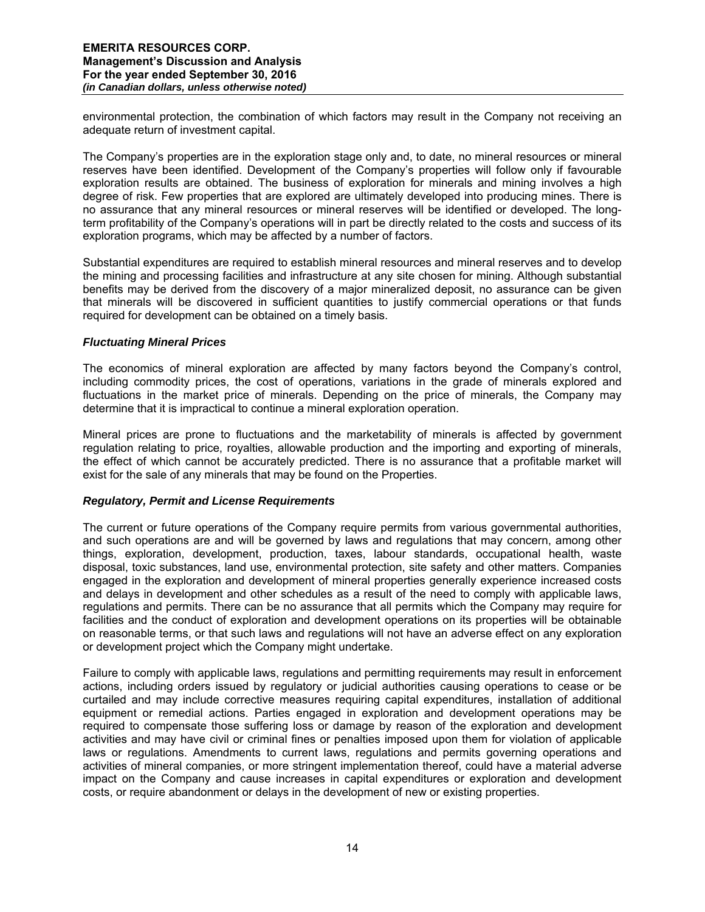environmental protection, the combination of which factors may result in the Company not receiving an adequate return of investment capital.

The Company's properties are in the exploration stage only and, to date, no mineral resources or mineral reserves have been identified. Development of the Company's properties will follow only if favourable exploration results are obtained. The business of exploration for minerals and mining involves a high degree of risk. Few properties that are explored are ultimately developed into producing mines. There is no assurance that any mineral resources or mineral reserves will be identified or developed. The longterm profitability of the Company's operations will in part be directly related to the costs and success of its exploration programs, which may be affected by a number of factors.

Substantial expenditures are required to establish mineral resources and mineral reserves and to develop the mining and processing facilities and infrastructure at any site chosen for mining. Although substantial benefits may be derived from the discovery of a major mineralized deposit, no assurance can be given that minerals will be discovered in sufficient quantities to justify commercial operations or that funds required for development can be obtained on a timely basis.

## *Fluctuating Mineral Prices*

The economics of mineral exploration are affected by many factors beyond the Company's control, including commodity prices, the cost of operations, variations in the grade of minerals explored and fluctuations in the market price of minerals. Depending on the price of minerals, the Company may determine that it is impractical to continue a mineral exploration operation.

Mineral prices are prone to fluctuations and the marketability of minerals is affected by government regulation relating to price, royalties, allowable production and the importing and exporting of minerals, the effect of which cannot be accurately predicted. There is no assurance that a profitable market will exist for the sale of any minerals that may be found on the Properties.

## *Regulatory, Permit and License Requirements*

The current or future operations of the Company require permits from various governmental authorities, and such operations are and will be governed by laws and regulations that may concern, among other things, exploration, development, production, taxes, labour standards, occupational health, waste disposal, toxic substances, land use, environmental protection, site safety and other matters. Companies engaged in the exploration and development of mineral properties generally experience increased costs and delays in development and other schedules as a result of the need to comply with applicable laws, regulations and permits. There can be no assurance that all permits which the Company may require for facilities and the conduct of exploration and development operations on its properties will be obtainable on reasonable terms, or that such laws and regulations will not have an adverse effect on any exploration or development project which the Company might undertake.

Failure to comply with applicable laws, regulations and permitting requirements may result in enforcement actions, including orders issued by regulatory or judicial authorities causing operations to cease or be curtailed and may include corrective measures requiring capital expenditures, installation of additional equipment or remedial actions. Parties engaged in exploration and development operations may be required to compensate those suffering loss or damage by reason of the exploration and development activities and may have civil or criminal fines or penalties imposed upon them for violation of applicable laws or regulations. Amendments to current laws, regulations and permits governing operations and activities of mineral companies, or more stringent implementation thereof, could have a material adverse impact on the Company and cause increases in capital expenditures or exploration and development costs, or require abandonment or delays in the development of new or existing properties.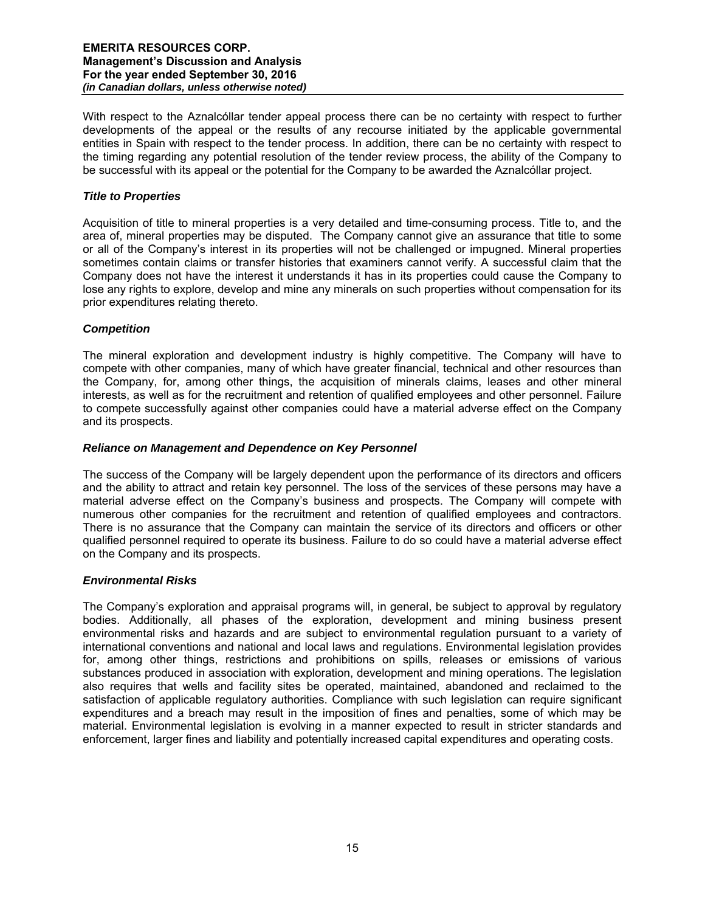With respect to the Aznalcóllar tender appeal process there can be no certainty with respect to further developments of the appeal or the results of any recourse initiated by the applicable governmental entities in Spain with respect to the tender process. In addition, there can be no certainty with respect to the timing regarding any potential resolution of the tender review process, the ability of the Company to be successful with its appeal or the potential for the Company to be awarded the Aznalcóllar project.

## *Title to Properties*

Acquisition of title to mineral properties is a very detailed and time-consuming process. Title to, and the area of, mineral properties may be disputed. The Company cannot give an assurance that title to some or all of the Company's interest in its properties will not be challenged or impugned. Mineral properties sometimes contain claims or transfer histories that examiners cannot verify. A successful claim that the Company does not have the interest it understands it has in its properties could cause the Company to lose any rights to explore, develop and mine any minerals on such properties without compensation for its prior expenditures relating thereto.

# *Competition*

The mineral exploration and development industry is highly competitive. The Company will have to compete with other companies, many of which have greater financial, technical and other resources than the Company, for, among other things, the acquisition of minerals claims, leases and other mineral interests, as well as for the recruitment and retention of qualified employees and other personnel. Failure to compete successfully against other companies could have a material adverse effect on the Company and its prospects.

## *Reliance on Management and Dependence on Key Personnel*

The success of the Company will be largely dependent upon the performance of its directors and officers and the ability to attract and retain key personnel. The loss of the services of these persons may have a material adverse effect on the Company's business and prospects. The Company will compete with numerous other companies for the recruitment and retention of qualified employees and contractors. There is no assurance that the Company can maintain the service of its directors and officers or other qualified personnel required to operate its business. Failure to do so could have a material adverse effect on the Company and its prospects.

## *Environmental Risks*

The Company's exploration and appraisal programs will, in general, be subject to approval by regulatory bodies. Additionally, all phases of the exploration, development and mining business present environmental risks and hazards and are subject to environmental regulation pursuant to a variety of international conventions and national and local laws and regulations. Environmental legislation provides for, among other things, restrictions and prohibitions on spills, releases or emissions of various substances produced in association with exploration, development and mining operations. The legislation also requires that wells and facility sites be operated, maintained, abandoned and reclaimed to the satisfaction of applicable regulatory authorities. Compliance with such legislation can require significant expenditures and a breach may result in the imposition of fines and penalties, some of which may be material. Environmental legislation is evolving in a manner expected to result in stricter standards and enforcement, larger fines and liability and potentially increased capital expenditures and operating costs.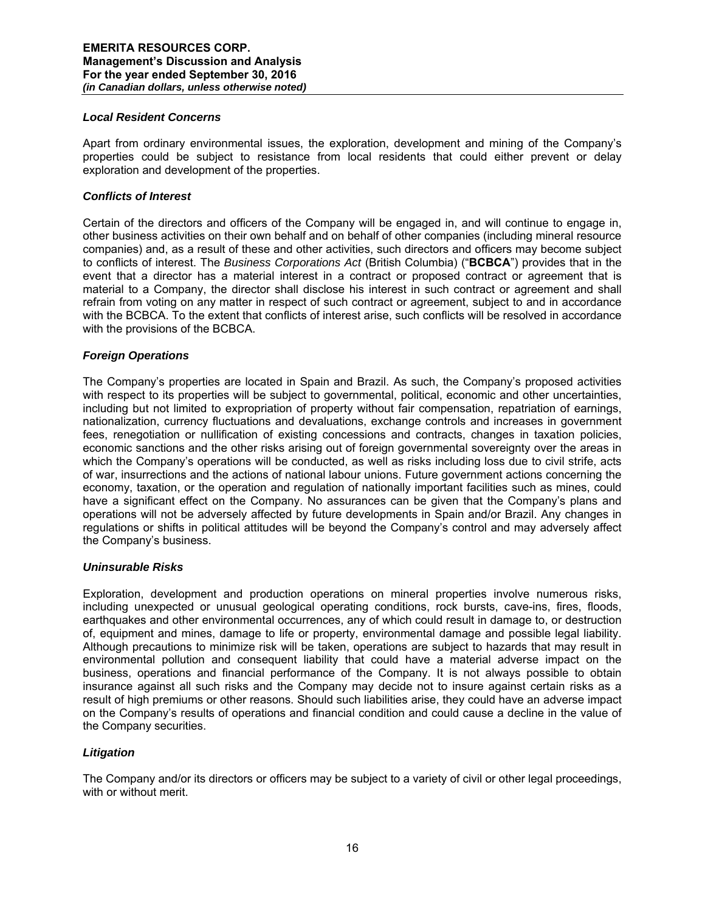#### *Local Resident Concerns*

Apart from ordinary environmental issues, the exploration, development and mining of the Company's properties could be subject to resistance from local residents that could either prevent or delay exploration and development of the properties.

#### *Conflicts of Interest*

Certain of the directors and officers of the Company will be engaged in, and will continue to engage in, other business activities on their own behalf and on behalf of other companies (including mineral resource companies) and, as a result of these and other activities, such directors and officers may become subject to conflicts of interest. The *Business Corporations Act* (British Columbia) ("**BCBCA**") provides that in the event that a director has a material interest in a contract or proposed contract or agreement that is material to a Company, the director shall disclose his interest in such contract or agreement and shall refrain from voting on any matter in respect of such contract or agreement, subject to and in accordance with the BCBCA. To the extent that conflicts of interest arise, such conflicts will be resolved in accordance with the provisions of the BCBCA.

#### *Foreign Operations*

The Company's properties are located in Spain and Brazil. As such, the Company's proposed activities with respect to its properties will be subject to governmental, political, economic and other uncertainties, including but not limited to expropriation of property without fair compensation, repatriation of earnings, nationalization, currency fluctuations and devaluations, exchange controls and increases in government fees, renegotiation or nullification of existing concessions and contracts, changes in taxation policies, economic sanctions and the other risks arising out of foreign governmental sovereignty over the areas in which the Company's operations will be conducted, as well as risks including loss due to civil strife, acts of war, insurrections and the actions of national labour unions. Future government actions concerning the economy, taxation, or the operation and regulation of nationally important facilities such as mines, could have a significant effect on the Company. No assurances can be given that the Company's plans and operations will not be adversely affected by future developments in Spain and/or Brazil. Any changes in regulations or shifts in political attitudes will be beyond the Company's control and may adversely affect the Company's business.

#### *Uninsurable Risks*

Exploration, development and production operations on mineral properties involve numerous risks, including unexpected or unusual geological operating conditions, rock bursts, cave-ins, fires, floods, earthquakes and other environmental occurrences, any of which could result in damage to, or destruction of, equipment and mines, damage to life or property, environmental damage and possible legal liability. Although precautions to minimize risk will be taken, operations are subject to hazards that may result in environmental pollution and consequent liability that could have a material adverse impact on the business, operations and financial performance of the Company. It is not always possible to obtain insurance against all such risks and the Company may decide not to insure against certain risks as a result of high premiums or other reasons. Should such liabilities arise, they could have an adverse impact on the Company's results of operations and financial condition and could cause a decline in the value of the Company securities.

## *Litigation*

The Company and/or its directors or officers may be subject to a variety of civil or other legal proceedings, with or without merit.